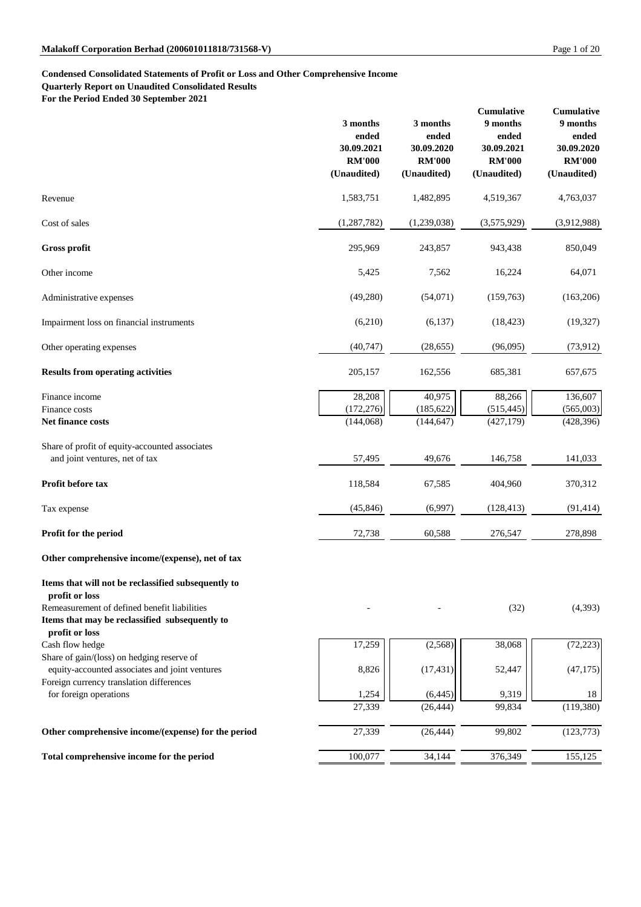## **Condensed Consolidated Statements of Profit or Loss and Other Comprehensive Income**

**Quarterly Report on Unaudited Consolidated Results**

**For the Period Ended 30 September 2021**

|                                                                                                                  | 3 months<br>ended<br>30.09.2021<br><b>RM'000</b><br>(Unaudited) | 3 months<br>ended<br>30.09.2020<br><b>RM'000</b><br>(Unaudited) | Cumulative<br>9 months<br>ended<br>30.09.2021<br><b>RM'000</b><br>(Unaudited) | <b>Cumulative</b><br>9 months<br>ended<br>30.09.2020<br><b>RM'000</b><br>(Unaudited) |
|------------------------------------------------------------------------------------------------------------------|-----------------------------------------------------------------|-----------------------------------------------------------------|-------------------------------------------------------------------------------|--------------------------------------------------------------------------------------|
| Revenue                                                                                                          | 1,583,751                                                       | 1,482,895                                                       | 4,519,367                                                                     | 4,763,037                                                                            |
| Cost of sales                                                                                                    | (1,287,782)                                                     | (1,239,038)                                                     | (3,575,929)                                                                   | (3,912,988)                                                                          |
| <b>Gross profit</b>                                                                                              | 295,969                                                         | 243,857                                                         | 943,438                                                                       | 850,049                                                                              |
| Other income                                                                                                     | 5,425                                                           | 7,562                                                           | 16,224                                                                        | 64,071                                                                               |
| Administrative expenses                                                                                          | (49,280)                                                        | (54,071)                                                        | (159,763)                                                                     | (163,206)                                                                            |
| Impairment loss on financial instruments                                                                         | (6,210)                                                         | (6,137)                                                         | (18, 423)                                                                     | (19, 327)                                                                            |
| Other operating expenses                                                                                         | (40, 747)                                                       | (28, 655)                                                       | (96,095)                                                                      | (73, 912)                                                                            |
| <b>Results from operating activities</b>                                                                         | 205,157                                                         | 162,556                                                         | 685,381                                                                       | 657,675                                                                              |
| Finance income<br>Finance costs                                                                                  | 28,208                                                          | 40,975<br>(185, 622)                                            | 88,266                                                                        | 136,607                                                                              |
| Net finance costs                                                                                                | (172, 276)<br>(144, 068)                                        | (144, 647)                                                      | (515, 445)<br>(427, 179)                                                      | (565,003)<br>(428, 396)                                                              |
| Share of profit of equity-accounted associates<br>and joint ventures, net of tax                                 | 57,495                                                          | 49,676                                                          | 146,758                                                                       | 141,033                                                                              |
| Profit before tax                                                                                                | 118,584                                                         | 67,585                                                          | 404,960                                                                       | 370,312                                                                              |
| Tax expense                                                                                                      | (45, 846)                                                       | (6,997)                                                         | (128, 413)                                                                    | (91, 414)                                                                            |
| Profit for the period                                                                                            | 72,738                                                          | 60,588                                                          | 276,547                                                                       | 278,898                                                                              |
| Other comprehensive income/(expense), net of tax                                                                 |                                                                 |                                                                 |                                                                               |                                                                                      |
| Items that will not be reclassified subsequently to<br>profit or loss                                            |                                                                 |                                                                 |                                                                               |                                                                                      |
| Remeasurement of defined benefit liabilities<br>Items that may be reclassified subsequently to<br>profit or loss |                                                                 |                                                                 | (32)                                                                          | (4,393)                                                                              |
| Cash flow hedge                                                                                                  | 17,259                                                          | (2,568)                                                         | 38,068                                                                        | (72, 223)                                                                            |
| Share of gain/(loss) on hedging reserve of<br>equity-accounted associates and joint ventures                     | 8,826                                                           | (17, 431)                                                       | 52,447                                                                        | (47, 175)                                                                            |
| Foreign currency translation differences<br>for foreign operations                                               | 1,254                                                           | (6, 445)                                                        | 9,319                                                                         | 18                                                                                   |
|                                                                                                                  | 27,339                                                          | (26, 444)                                                       | 99,834                                                                        | (119,380)                                                                            |
| Other comprehensive income/(expense) for the period                                                              | 27,339                                                          | (26, 444)                                                       | 99,802                                                                        | (123, 773)                                                                           |
| Total comprehensive income for the period                                                                        | 100,077                                                         | 34,144                                                          | 376,349                                                                       | 155,125                                                                              |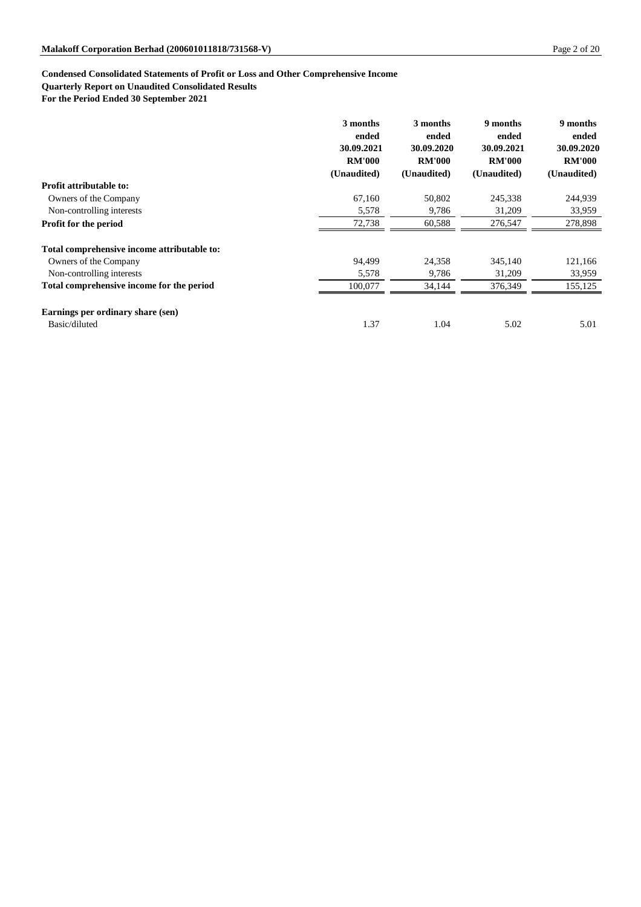## **Condensed Consolidated Statements of Profit or Loss and Other Comprehensive Income**

## **Quarterly Report on Unaudited Consolidated Results**

**For the Period Ended 30 September 2021**

|                                             | 3 months<br>ended | 3 months<br>ended | 9 months<br>ended | 9 months<br>ended |
|---------------------------------------------|-------------------|-------------------|-------------------|-------------------|
|                                             | 30.09.2021        | 30.09.2020        | 30.09.2021        | 30.09.2020        |
|                                             | <b>RM'000</b>     | <b>RM'000</b>     | <b>RM'000</b>     | <b>RM'000</b>     |
|                                             | (Unaudited)       | (Unaudited)       | (Unaudited)       | (Unaudited)       |
| <b>Profit attributable to:</b>              |                   |                   |                   |                   |
| Owners of the Company                       | 67,160            | 50,802            | 245,338           | 244,939           |
| Non-controlling interests                   | 5,578             | 9,786             | 31,209            | 33,959            |
| <b>Profit for the period</b>                | 72,738            | 60,588            | 276,547           | 278,898           |
| Total comprehensive income attributable to: |                   |                   |                   |                   |
| Owners of the Company                       | 94,499            | 24,358            | 345,140           | 121,166           |
| Non-controlling interests                   | 5,578             | 9,786             | 31,209            | 33,959            |
| Total comprehensive income for the period   | 100,077           | 34,144            | 376,349           | 155,125           |
| Earnings per ordinary share (sen)           |                   |                   |                   |                   |
| Basic/diluted                               | 1.37              | 1.04              | 5.02              | 5.01              |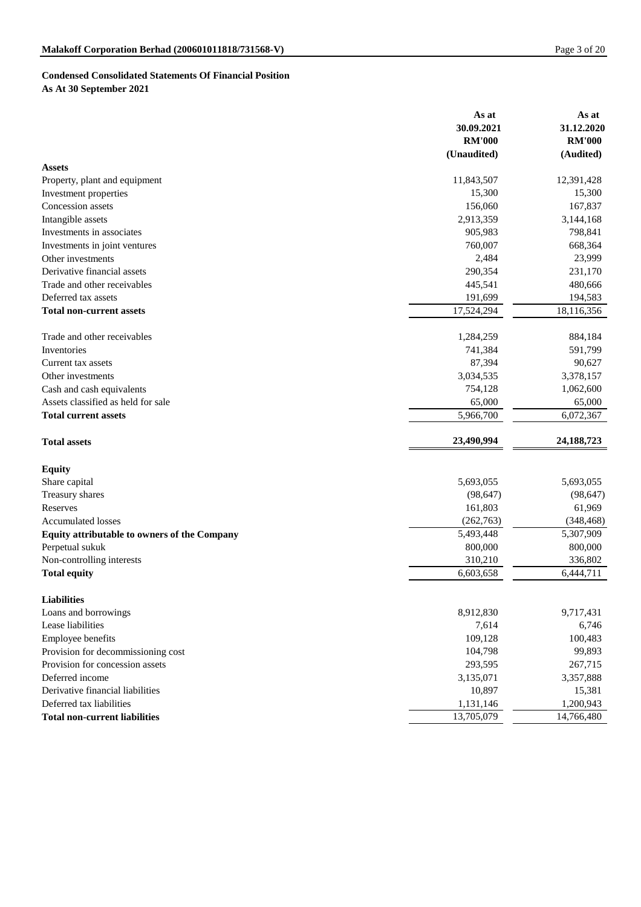# **Condensed Consolidated Statements Of Financial Position As At 30 September 2021**

|                                              | As at<br>30.09.2021<br><b>RM'000</b><br>(Unaudited) | As at<br>31.12.2020<br><b>RM'000</b><br>(Audited) |
|----------------------------------------------|-----------------------------------------------------|---------------------------------------------------|
| <b>Assets</b>                                |                                                     |                                                   |
| Property, plant and equipment                | 11,843,507                                          | 12,391,428                                        |
| Investment properties                        | 15,300                                              | 15,300                                            |
| Concession assets                            | 156,060                                             | 167,837                                           |
| Intangible assets                            | 2,913,359                                           | 3,144,168                                         |
| Investments in associates                    | 905,983                                             | 798,841                                           |
| Investments in joint ventures                | 760,007                                             | 668,364                                           |
| Other investments                            | 2,484                                               | 23,999                                            |
| Derivative financial assets                  | 290,354                                             | 231,170                                           |
| Trade and other receivables                  | 445,541                                             | 480,666                                           |
| Deferred tax assets                          | 191,699                                             | 194,583                                           |
| <b>Total non-current assets</b>              | 17,524,294                                          | 18,116,356                                        |
| Trade and other receivables                  | 1,284,259                                           | 884,184                                           |
| Inventories                                  | 741,384                                             | 591,799                                           |
| Current tax assets                           | 87,394                                              | 90,627                                            |
| Other investments                            | 3,034,535                                           | 3,378,157                                         |
| Cash and cash equivalents                    | 754,128                                             | 1,062,600                                         |
| Assets classified as held for sale           | 65,000                                              | 65,000                                            |
| <b>Total current assets</b>                  | 5,966,700                                           | 6,072,367                                         |
| <b>Total assets</b>                          | 23,490,994                                          | 24, 188, 723                                      |
| <b>Equity</b>                                |                                                     |                                                   |
| Share capital                                | 5,693,055                                           | 5,693,055                                         |
| Treasury shares                              | (98, 647)                                           | (98, 647)                                         |
| Reserves                                     | 161,803                                             | 61,969                                            |
| <b>Accumulated losses</b>                    | (262, 763)                                          | (348, 468)                                        |
| Equity attributable to owners of the Company | 5,493,448                                           | 5,307,909                                         |
| Perpetual sukuk                              | 800,000                                             | 800,000                                           |
| Non-controlling interests                    | 310,210                                             | 336,802                                           |
| <b>Total equity</b>                          | 6,603,658                                           | 6,444,711                                         |
| <b>Liabilities</b>                           |                                                     |                                                   |
| Loans and borrowings                         | 8,912,830                                           | 9,717,431                                         |
| Lease liabilities                            | 7,614                                               | 6,746                                             |
| <b>Employee benefits</b>                     | 109,128                                             | 100,483                                           |
| Provision for decommissioning cost           | 104,798                                             | 99,893                                            |
| Provision for concession assets              | 293,595                                             | 267,715                                           |
| Deferred income                              | 3,135,071                                           | 3,357,888                                         |
| Derivative financial liabilities             | 10,897                                              | 15,381                                            |
| Deferred tax liabilities                     | 1,131,146                                           | 1,200,943                                         |
| <b>Total non-current liabilities</b>         | 13,705,079                                          | 14,766,480                                        |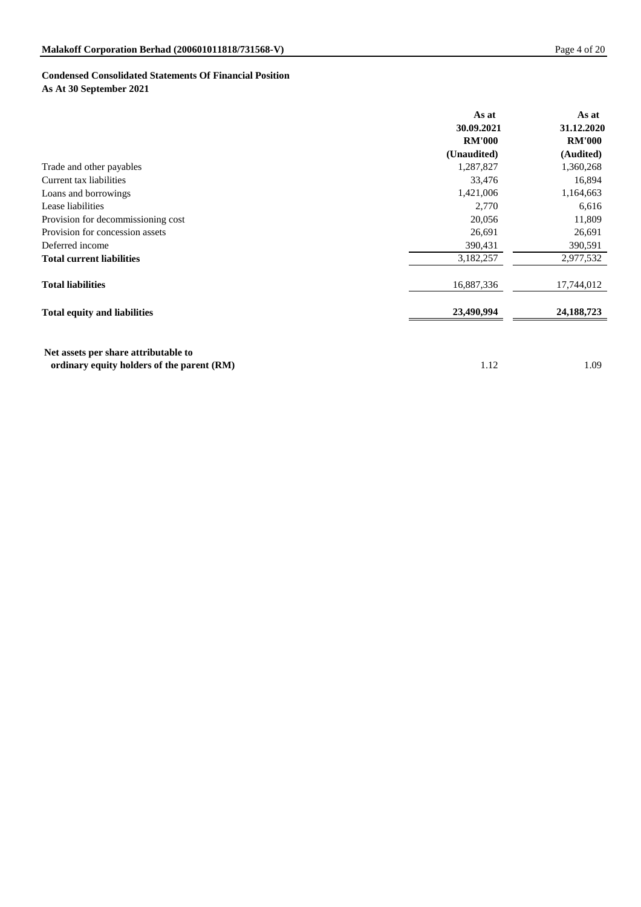# **Condensed Consolidated Statements Of Financial Position**

**As At 30 September 2021**

|                                     | As at         | As at         |
|-------------------------------------|---------------|---------------|
|                                     | 30.09.2021    | 31.12.2020    |
|                                     | <b>RM'000</b> | <b>RM'000</b> |
|                                     | (Unaudited)   | (Audited)     |
| Trade and other payables            | 1,287,827     | 1,360,268     |
| Current tax liabilities             | 33,476        | 16,894        |
| Loans and borrowings                | 1,421,006     | 1,164,663     |
| Lease liabilities                   | 2,770         | 6,616         |
| Provision for decommissioning cost  | 20,056        | 11,809        |
| Provision for concession assets     | 26,691        | 26,691        |
| Deferred income                     | 390,431       | 390,591       |
| <b>Total current liabilities</b>    | 3,182,257     | 2,977,532     |
| <b>Total liabilities</b>            | 16,887,336    | 17,744,012    |
| <b>Total equity and liabilities</b> | 23,490,994    | 24, 188, 723  |

**ordinary equity holders of the parent (RM)** 1.12 1.09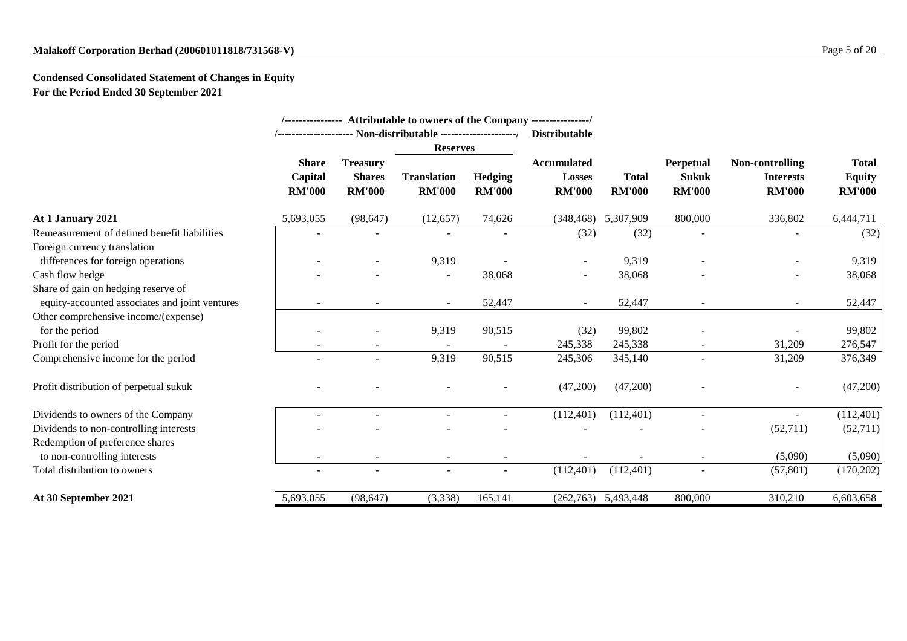# **Malakoff Corporation Berhad (200601011818/731568-V)** Page 5 of 20

# **Condensed Consolidated Statement of Changes in Equity For the Period Ended 30 September 2021**

|                                                                 |                                          |                                                   |                                     |                                 | /---------------- Attributable to owners of the Company ---------------/<br><b>Distributable</b> |                               |                                            |                                                             |                                                |
|-----------------------------------------------------------------|------------------------------------------|---------------------------------------------------|-------------------------------------|---------------------------------|--------------------------------------------------------------------------------------------------|-------------------------------|--------------------------------------------|-------------------------------------------------------------|------------------------------------------------|
|                                                                 |                                          |                                                   | <b>Reserves</b>                     |                                 |                                                                                                  |                               |                                            |                                                             |                                                |
|                                                                 | <b>Share</b><br>Capital<br><b>RM'000</b> | <b>Treasury</b><br><b>Shares</b><br><b>RM'000</b> | <b>Translation</b><br><b>RM'000</b> | <b>Hedging</b><br><b>RM'000</b> | <b>Accumulated</b><br><b>Losses</b><br><b>RM'000</b>                                             | <b>Total</b><br><b>RM'000</b> | Perpetual<br><b>Sukuk</b><br><b>RM'000</b> | <b>Non-controlling</b><br><b>Interests</b><br><b>RM'000</b> | <b>Total</b><br><b>Equity</b><br><b>RM'000</b> |
| At 1 January 2021                                               | 5,693,055                                | (98, 647)                                         | (12, 657)                           | 74,626                          | (348, 468)                                                                                       | 5,307,909                     | 800,000                                    | 336,802                                                     | 6,444,711                                      |
| Remeasurement of defined benefit liabilities                    |                                          | $\overline{\phantom{a}}$                          |                                     |                                 | (32)                                                                                             | (32)                          |                                            | $\overline{\phantom{a}}$                                    | (32)                                           |
| Foreign currency translation                                    |                                          |                                                   |                                     |                                 |                                                                                                  |                               |                                            |                                                             |                                                |
| differences for foreign operations                              |                                          |                                                   | 9,319                               |                                 |                                                                                                  | 9,319                         |                                            |                                                             | 9,319                                          |
| Cash flow hedge                                                 |                                          |                                                   |                                     | 38,068                          | $\overline{\phantom{a}}$                                                                         | 38,068                        |                                            |                                                             | 38,068                                         |
| Share of gain on hedging reserve of                             |                                          |                                                   |                                     |                                 |                                                                                                  |                               |                                            |                                                             |                                                |
| equity-accounted associates and joint ventures                  |                                          |                                                   |                                     | 52,447                          |                                                                                                  | 52,447                        |                                            |                                                             | 52,447                                         |
| Other comprehensive income/(expense)                            |                                          |                                                   |                                     |                                 |                                                                                                  |                               |                                            |                                                             |                                                |
| for the period                                                  |                                          |                                                   | 9,319                               | 90,515                          | (32)                                                                                             | 99,802                        |                                            |                                                             | 99,802                                         |
| Profit for the period                                           |                                          |                                                   |                                     |                                 | 245,338                                                                                          | 245,338                       |                                            | 31,209                                                      | 276,547                                        |
| Comprehensive income for the period                             |                                          | $\overline{\phantom{a}}$                          | 9,319                               | 90,515                          | 245,306                                                                                          | 345,140                       |                                            | 31,209                                                      | 376,349                                        |
| Profit distribution of perpetual sukuk                          |                                          |                                                   |                                     |                                 | (47,200)                                                                                         | (47,200)                      |                                            |                                                             | (47,200)                                       |
| Dividends to owners of the Company                              |                                          |                                                   |                                     |                                 | (112,401)                                                                                        | (112,401)                     |                                            |                                                             | (112,401)                                      |
| Dividends to non-controlling interests                          |                                          |                                                   |                                     |                                 |                                                                                                  |                               |                                            | (52,711)                                                    | (52,711)                                       |
| Redemption of preference shares<br>to non-controlling interests |                                          | $\overline{\phantom{a}}$                          |                                     |                                 |                                                                                                  |                               |                                            | (5,090)                                                     | (5,090)                                        |
| Total distribution to owners                                    |                                          |                                                   |                                     |                                 |                                                                                                  |                               |                                            |                                                             |                                                |
|                                                                 | $\overline{\phantom{a}}$                 | $\overline{\phantom{a}}$                          | $\blacksquare$                      | $\overline{\phantom{a}}$        | (112,401)                                                                                        | (112,401)                     |                                            | (57, 801)                                                   | (170, 202)                                     |
| At 30 September 2021                                            | 5,693,055                                | (98, 647)                                         | (3,338)                             | 165,141                         | (262,763)                                                                                        | 5,493,448                     | 800,000                                    | 310,210                                                     | 6,603,658                                      |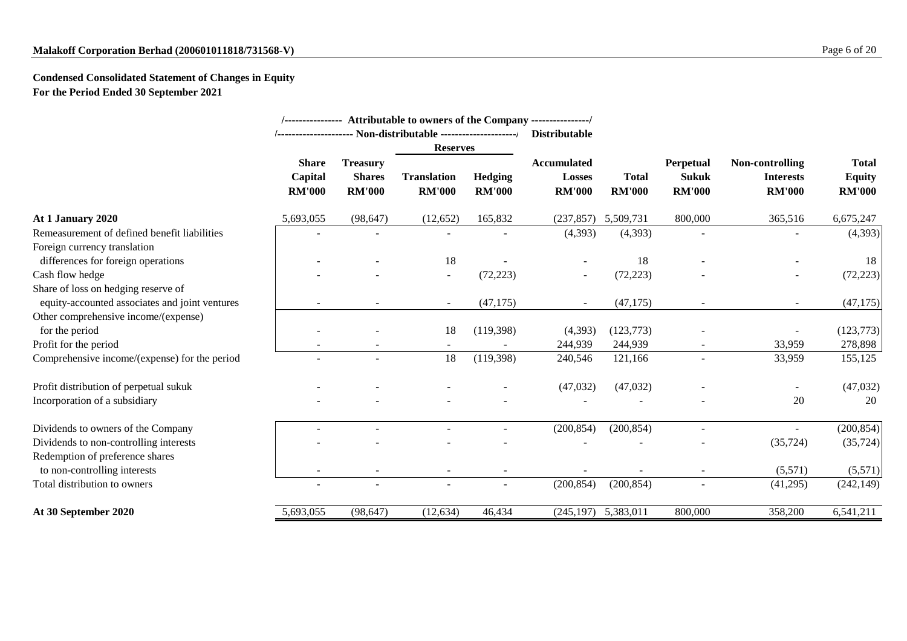# **Malakoff Corporation Berhad (200601011818/731568-V)** Page 6 of 20

# **Condensed Consolidated Statement of Changes in Equity For the Period Ended 30 September 2021**

|                                                |                                          |                                                   | /---------------- Attributable to owners of the Company ---------------/ |                          |                                                      |                               |                                            |                                                      |                                                |
|------------------------------------------------|------------------------------------------|---------------------------------------------------|--------------------------------------------------------------------------|--------------------------|------------------------------------------------------|-------------------------------|--------------------------------------------|------------------------------------------------------|------------------------------------------------|
|                                                |                                          |                                                   |                                                                          |                          | <b>Distributable</b>                                 |                               |                                            |                                                      |                                                |
|                                                |                                          |                                                   | <b>Reserves</b>                                                          |                          |                                                      |                               |                                            |                                                      |                                                |
|                                                | <b>Share</b><br>Capital<br><b>RM'000</b> | <b>Treasury</b><br><b>Shares</b><br><b>RM'000</b> | <b>Translation</b><br><b>RM'000</b>                                      | Hedging<br><b>RM'000</b> | <b>Accumulated</b><br><b>Losses</b><br><b>RM'000</b> | <b>Total</b><br><b>RM'000</b> | Perpetual<br><b>Sukuk</b><br><b>RM'000</b> | Non-controlling<br><b>Interests</b><br><b>RM'000</b> | <b>Total</b><br><b>Equity</b><br><b>RM'000</b> |
| At 1 January 2020                              | 5,693,055                                | (98, 647)                                         | (12, 652)                                                                | 165,832                  | (237, 857)                                           | 5,509,731                     | 800,000                                    | 365,516                                              | 6,675,247                                      |
| Remeasurement of defined benefit liabilities   |                                          |                                                   |                                                                          |                          | (4, 393)                                             | (4, 393)                      |                                            |                                                      | (4,393)                                        |
| Foreign currency translation                   |                                          |                                                   |                                                                          |                          |                                                      |                               |                                            |                                                      |                                                |
| differences for foreign operations             |                                          |                                                   | 18                                                                       |                          |                                                      | 18                            |                                            |                                                      | 18                                             |
| Cash flow hedge                                |                                          |                                                   | $\overline{\phantom{a}}$                                                 | (72, 223)                | $\overline{\phantom{a}}$                             | (72, 223)                     |                                            |                                                      | (72, 223)                                      |
| Share of loss on hedging reserve of            |                                          |                                                   |                                                                          |                          |                                                      |                               |                                            |                                                      |                                                |
| equity-accounted associates and joint ventures |                                          | $\overline{\phantom{a}}$                          | $\overline{\phantom{a}}$                                                 | (47, 175)                | $\sim$                                               | (47, 175)                     | $\overline{\phantom{a}}$                   | $\overline{\phantom{a}}$                             | (47, 175)                                      |
| Other comprehensive income/(expense)           |                                          |                                                   |                                                                          |                          |                                                      |                               |                                            |                                                      |                                                |
| for the period                                 |                                          |                                                   | 18                                                                       | (119,398)                | (4,393)                                              | (123,773)                     |                                            |                                                      | (123, 773)                                     |
| Profit for the period                          |                                          |                                                   |                                                                          |                          | 244,939                                              | 244,939                       |                                            | 33,959                                               | 278,898                                        |
| Comprehensive income/(expense) for the period  |                                          | $\sim$                                            | 18                                                                       | (119, 398)               | 240,546                                              | 121,166                       |                                            | 33,959                                               | 155,125                                        |
| Profit distribution of perpetual sukuk         |                                          |                                                   |                                                                          |                          | (47, 032)                                            | (47,032)                      |                                            |                                                      | (47,032)                                       |
| Incorporation of a subsidiary                  |                                          |                                                   |                                                                          |                          |                                                      |                               |                                            | 20                                                   | 20                                             |
| Dividends to owners of the Company             |                                          |                                                   |                                                                          |                          | (200, 854)                                           | (200, 854)                    |                                            |                                                      | (200, 854)                                     |
| Dividends to non-controlling interests         |                                          |                                                   |                                                                          |                          |                                                      |                               |                                            | (35, 724)                                            | (35, 724)                                      |
| Redemption of preference shares                |                                          |                                                   |                                                                          |                          |                                                      |                               |                                            |                                                      |                                                |
| to non-controlling interests                   |                                          |                                                   |                                                                          |                          |                                                      |                               |                                            | (5,571)                                              | (5,571)                                        |
| Total distribution to owners                   |                                          |                                                   |                                                                          |                          | (200, 854)                                           | (200, 854)                    |                                            | (41,295)                                             | (242, 149)                                     |
| At 30 September 2020                           | 5,693,055                                | (98, 647)                                         | (12, 634)                                                                | 46,434                   | (245, 197)                                           | 5,383,011                     | 800,000                                    | 358,200                                              | 6,541,211                                      |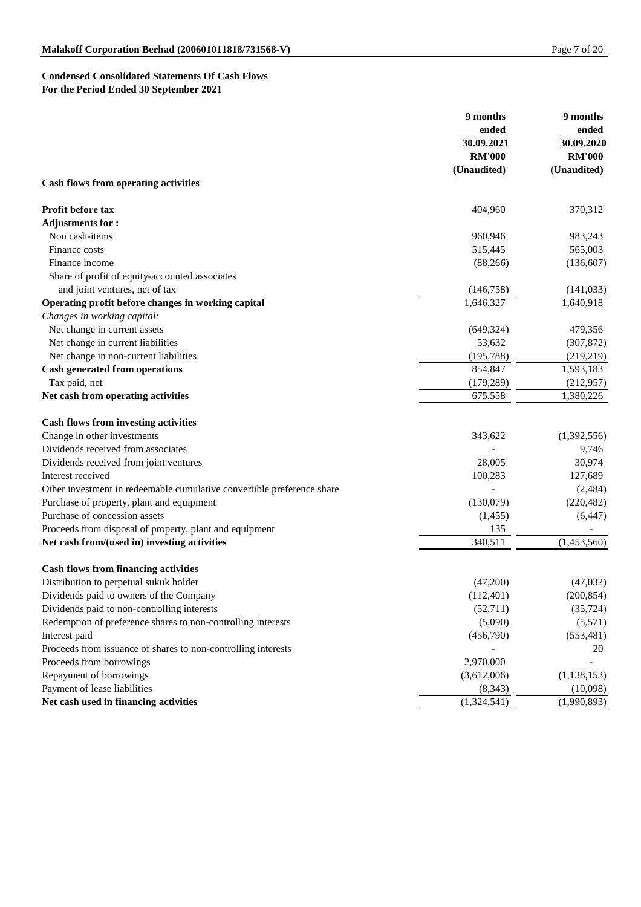# **Condensed Consolidated Statements Of Cash Flows For the Period Ended 30 September 2021**

| ended<br>ended<br>30.09.2021<br>30.09.2020<br><b>RM'000</b><br><b>RM'000</b><br>(Unaudited)<br>(Unaudited)<br><b>Cash flows from operating activities</b><br>Profit before tax<br>404,960<br>370,312<br><b>Adjustments for:</b><br>Non cash-items<br>983,243<br>960,946<br>515,445<br>565,003<br>Finance costs<br>Finance income<br>(136, 607)<br>(88, 266)<br>Share of profit of equity-accounted associates<br>and joint ventures, net of tax<br>(146,758)<br>(141, 033)<br>Operating profit before changes in working capital<br>1,646,327<br>1,640,918<br>Changes in working capital:<br>Net change in current assets<br>(649, 324)<br>479,356<br>Net change in current liabilities<br>53,632<br>(307, 872)<br>Net change in non-current liabilities<br>(219, 219)<br>(195, 788)<br><b>Cash generated from operations</b><br>1,593,183<br>854,847<br>Tax paid, net<br>(179, 289)<br>(212,957)<br>Net cash from operating activities<br>675,558<br>1,380,226<br><b>Cash flows from investing activities</b><br>Change in other investments<br>(1,392,556)<br>343,622<br>Dividends received from associates<br>9,746<br>Dividends received from joint ventures<br>28,005<br>30,974<br>Interest received<br>100,283<br>127,689<br>Other investment in redeemable cumulative convertible preference share<br>(2,484)<br>Purchase of property, plant and equipment<br>(130,079)<br>(220, 482)<br>Purchase of concession assets<br>(6, 447)<br>(1,455)<br>Proceeds from disposal of property, plant and equipment<br>135<br>340,511<br>Net cash from/(used in) investing activities<br>(1,453,560)<br><b>Cash flows from financing activities</b><br>Distribution to perpetual sukuk holder<br>(47,200)<br>(47,032)<br>Dividends paid to owners of the Company<br>(200, 854)<br>(112,401)<br>Dividends paid to non-controlling interests<br>(35, 724)<br>(52,711)<br>Redemption of preference shares to non-controlling interests<br>(5,090)<br>(5,571)<br>Interest paid<br>(553, 481)<br>(456,790)<br>Proceeds from issuance of shares to non-controlling interests<br>20<br>2,970,000<br>Proceeds from borrowings<br>Repayment of borrowings<br>(3,612,006)<br>(1, 138, 153)<br>Payment of lease liabilities<br>(8, 343)<br>(10,098)<br>Net cash used in financing activities<br>(1,324,541)<br>(1,990,893) | 9 months | 9 months |
|-------------------------------------------------------------------------------------------------------------------------------------------------------------------------------------------------------------------------------------------------------------------------------------------------------------------------------------------------------------------------------------------------------------------------------------------------------------------------------------------------------------------------------------------------------------------------------------------------------------------------------------------------------------------------------------------------------------------------------------------------------------------------------------------------------------------------------------------------------------------------------------------------------------------------------------------------------------------------------------------------------------------------------------------------------------------------------------------------------------------------------------------------------------------------------------------------------------------------------------------------------------------------------------------------------------------------------------------------------------------------------------------------------------------------------------------------------------------------------------------------------------------------------------------------------------------------------------------------------------------------------------------------------------------------------------------------------------------------------------------------------------------------------------------------------------------------------------------------------------------------------------------------------------------------------------------------------------------------------------------------------------------------------------------------------------------------------------------------------------------------------------------------------------------------------------------------------------------------------------------------------------------------------------------------------------|----------|----------|
|                                                                                                                                                                                                                                                                                                                                                                                                                                                                                                                                                                                                                                                                                                                                                                                                                                                                                                                                                                                                                                                                                                                                                                                                                                                                                                                                                                                                                                                                                                                                                                                                                                                                                                                                                                                                                                                                                                                                                                                                                                                                                                                                                                                                                                                                                                             |          |          |
|                                                                                                                                                                                                                                                                                                                                                                                                                                                                                                                                                                                                                                                                                                                                                                                                                                                                                                                                                                                                                                                                                                                                                                                                                                                                                                                                                                                                                                                                                                                                                                                                                                                                                                                                                                                                                                                                                                                                                                                                                                                                                                                                                                                                                                                                                                             |          |          |
|                                                                                                                                                                                                                                                                                                                                                                                                                                                                                                                                                                                                                                                                                                                                                                                                                                                                                                                                                                                                                                                                                                                                                                                                                                                                                                                                                                                                                                                                                                                                                                                                                                                                                                                                                                                                                                                                                                                                                                                                                                                                                                                                                                                                                                                                                                             |          |          |
|                                                                                                                                                                                                                                                                                                                                                                                                                                                                                                                                                                                                                                                                                                                                                                                                                                                                                                                                                                                                                                                                                                                                                                                                                                                                                                                                                                                                                                                                                                                                                                                                                                                                                                                                                                                                                                                                                                                                                                                                                                                                                                                                                                                                                                                                                                             |          |          |
|                                                                                                                                                                                                                                                                                                                                                                                                                                                                                                                                                                                                                                                                                                                                                                                                                                                                                                                                                                                                                                                                                                                                                                                                                                                                                                                                                                                                                                                                                                                                                                                                                                                                                                                                                                                                                                                                                                                                                                                                                                                                                                                                                                                                                                                                                                             |          |          |
|                                                                                                                                                                                                                                                                                                                                                                                                                                                                                                                                                                                                                                                                                                                                                                                                                                                                                                                                                                                                                                                                                                                                                                                                                                                                                                                                                                                                                                                                                                                                                                                                                                                                                                                                                                                                                                                                                                                                                                                                                                                                                                                                                                                                                                                                                                             |          |          |
|                                                                                                                                                                                                                                                                                                                                                                                                                                                                                                                                                                                                                                                                                                                                                                                                                                                                                                                                                                                                                                                                                                                                                                                                                                                                                                                                                                                                                                                                                                                                                                                                                                                                                                                                                                                                                                                                                                                                                                                                                                                                                                                                                                                                                                                                                                             |          |          |
|                                                                                                                                                                                                                                                                                                                                                                                                                                                                                                                                                                                                                                                                                                                                                                                                                                                                                                                                                                                                                                                                                                                                                                                                                                                                                                                                                                                                                                                                                                                                                                                                                                                                                                                                                                                                                                                                                                                                                                                                                                                                                                                                                                                                                                                                                                             |          |          |
|                                                                                                                                                                                                                                                                                                                                                                                                                                                                                                                                                                                                                                                                                                                                                                                                                                                                                                                                                                                                                                                                                                                                                                                                                                                                                                                                                                                                                                                                                                                                                                                                                                                                                                                                                                                                                                                                                                                                                                                                                                                                                                                                                                                                                                                                                                             |          |          |
|                                                                                                                                                                                                                                                                                                                                                                                                                                                                                                                                                                                                                                                                                                                                                                                                                                                                                                                                                                                                                                                                                                                                                                                                                                                                                                                                                                                                                                                                                                                                                                                                                                                                                                                                                                                                                                                                                                                                                                                                                                                                                                                                                                                                                                                                                                             |          |          |
|                                                                                                                                                                                                                                                                                                                                                                                                                                                                                                                                                                                                                                                                                                                                                                                                                                                                                                                                                                                                                                                                                                                                                                                                                                                                                                                                                                                                                                                                                                                                                                                                                                                                                                                                                                                                                                                                                                                                                                                                                                                                                                                                                                                                                                                                                                             |          |          |
|                                                                                                                                                                                                                                                                                                                                                                                                                                                                                                                                                                                                                                                                                                                                                                                                                                                                                                                                                                                                                                                                                                                                                                                                                                                                                                                                                                                                                                                                                                                                                                                                                                                                                                                                                                                                                                                                                                                                                                                                                                                                                                                                                                                                                                                                                                             |          |          |
|                                                                                                                                                                                                                                                                                                                                                                                                                                                                                                                                                                                                                                                                                                                                                                                                                                                                                                                                                                                                                                                                                                                                                                                                                                                                                                                                                                                                                                                                                                                                                                                                                                                                                                                                                                                                                                                                                                                                                                                                                                                                                                                                                                                                                                                                                                             |          |          |
|                                                                                                                                                                                                                                                                                                                                                                                                                                                                                                                                                                                                                                                                                                                                                                                                                                                                                                                                                                                                                                                                                                                                                                                                                                                                                                                                                                                                                                                                                                                                                                                                                                                                                                                                                                                                                                                                                                                                                                                                                                                                                                                                                                                                                                                                                                             |          |          |
|                                                                                                                                                                                                                                                                                                                                                                                                                                                                                                                                                                                                                                                                                                                                                                                                                                                                                                                                                                                                                                                                                                                                                                                                                                                                                                                                                                                                                                                                                                                                                                                                                                                                                                                                                                                                                                                                                                                                                                                                                                                                                                                                                                                                                                                                                                             |          |          |
|                                                                                                                                                                                                                                                                                                                                                                                                                                                                                                                                                                                                                                                                                                                                                                                                                                                                                                                                                                                                                                                                                                                                                                                                                                                                                                                                                                                                                                                                                                                                                                                                                                                                                                                                                                                                                                                                                                                                                                                                                                                                                                                                                                                                                                                                                                             |          |          |
|                                                                                                                                                                                                                                                                                                                                                                                                                                                                                                                                                                                                                                                                                                                                                                                                                                                                                                                                                                                                                                                                                                                                                                                                                                                                                                                                                                                                                                                                                                                                                                                                                                                                                                                                                                                                                                                                                                                                                                                                                                                                                                                                                                                                                                                                                                             |          |          |
|                                                                                                                                                                                                                                                                                                                                                                                                                                                                                                                                                                                                                                                                                                                                                                                                                                                                                                                                                                                                                                                                                                                                                                                                                                                                                                                                                                                                                                                                                                                                                                                                                                                                                                                                                                                                                                                                                                                                                                                                                                                                                                                                                                                                                                                                                                             |          |          |
|                                                                                                                                                                                                                                                                                                                                                                                                                                                                                                                                                                                                                                                                                                                                                                                                                                                                                                                                                                                                                                                                                                                                                                                                                                                                                                                                                                                                                                                                                                                                                                                                                                                                                                                                                                                                                                                                                                                                                                                                                                                                                                                                                                                                                                                                                                             |          |          |
|                                                                                                                                                                                                                                                                                                                                                                                                                                                                                                                                                                                                                                                                                                                                                                                                                                                                                                                                                                                                                                                                                                                                                                                                                                                                                                                                                                                                                                                                                                                                                                                                                                                                                                                                                                                                                                                                                                                                                                                                                                                                                                                                                                                                                                                                                                             |          |          |
|                                                                                                                                                                                                                                                                                                                                                                                                                                                                                                                                                                                                                                                                                                                                                                                                                                                                                                                                                                                                                                                                                                                                                                                                                                                                                                                                                                                                                                                                                                                                                                                                                                                                                                                                                                                                                                                                                                                                                                                                                                                                                                                                                                                                                                                                                                             |          |          |
|                                                                                                                                                                                                                                                                                                                                                                                                                                                                                                                                                                                                                                                                                                                                                                                                                                                                                                                                                                                                                                                                                                                                                                                                                                                                                                                                                                                                                                                                                                                                                                                                                                                                                                                                                                                                                                                                                                                                                                                                                                                                                                                                                                                                                                                                                                             |          |          |
|                                                                                                                                                                                                                                                                                                                                                                                                                                                                                                                                                                                                                                                                                                                                                                                                                                                                                                                                                                                                                                                                                                                                                                                                                                                                                                                                                                                                                                                                                                                                                                                                                                                                                                                                                                                                                                                                                                                                                                                                                                                                                                                                                                                                                                                                                                             |          |          |
|                                                                                                                                                                                                                                                                                                                                                                                                                                                                                                                                                                                                                                                                                                                                                                                                                                                                                                                                                                                                                                                                                                                                                                                                                                                                                                                                                                                                                                                                                                                                                                                                                                                                                                                                                                                                                                                                                                                                                                                                                                                                                                                                                                                                                                                                                                             |          |          |
|                                                                                                                                                                                                                                                                                                                                                                                                                                                                                                                                                                                                                                                                                                                                                                                                                                                                                                                                                                                                                                                                                                                                                                                                                                                                                                                                                                                                                                                                                                                                                                                                                                                                                                                                                                                                                                                                                                                                                                                                                                                                                                                                                                                                                                                                                                             |          |          |
|                                                                                                                                                                                                                                                                                                                                                                                                                                                                                                                                                                                                                                                                                                                                                                                                                                                                                                                                                                                                                                                                                                                                                                                                                                                                                                                                                                                                                                                                                                                                                                                                                                                                                                                                                                                                                                                                                                                                                                                                                                                                                                                                                                                                                                                                                                             |          |          |
|                                                                                                                                                                                                                                                                                                                                                                                                                                                                                                                                                                                                                                                                                                                                                                                                                                                                                                                                                                                                                                                                                                                                                                                                                                                                                                                                                                                                                                                                                                                                                                                                                                                                                                                                                                                                                                                                                                                                                                                                                                                                                                                                                                                                                                                                                                             |          |          |
|                                                                                                                                                                                                                                                                                                                                                                                                                                                                                                                                                                                                                                                                                                                                                                                                                                                                                                                                                                                                                                                                                                                                                                                                                                                                                                                                                                                                                                                                                                                                                                                                                                                                                                                                                                                                                                                                                                                                                                                                                                                                                                                                                                                                                                                                                                             |          |          |
|                                                                                                                                                                                                                                                                                                                                                                                                                                                                                                                                                                                                                                                                                                                                                                                                                                                                                                                                                                                                                                                                                                                                                                                                                                                                                                                                                                                                                                                                                                                                                                                                                                                                                                                                                                                                                                                                                                                                                                                                                                                                                                                                                                                                                                                                                                             |          |          |
|                                                                                                                                                                                                                                                                                                                                                                                                                                                                                                                                                                                                                                                                                                                                                                                                                                                                                                                                                                                                                                                                                                                                                                                                                                                                                                                                                                                                                                                                                                                                                                                                                                                                                                                                                                                                                                                                                                                                                                                                                                                                                                                                                                                                                                                                                                             |          |          |
|                                                                                                                                                                                                                                                                                                                                                                                                                                                                                                                                                                                                                                                                                                                                                                                                                                                                                                                                                                                                                                                                                                                                                                                                                                                                                                                                                                                                                                                                                                                                                                                                                                                                                                                                                                                                                                                                                                                                                                                                                                                                                                                                                                                                                                                                                                             |          |          |
|                                                                                                                                                                                                                                                                                                                                                                                                                                                                                                                                                                                                                                                                                                                                                                                                                                                                                                                                                                                                                                                                                                                                                                                                                                                                                                                                                                                                                                                                                                                                                                                                                                                                                                                                                                                                                                                                                                                                                                                                                                                                                                                                                                                                                                                                                                             |          |          |
|                                                                                                                                                                                                                                                                                                                                                                                                                                                                                                                                                                                                                                                                                                                                                                                                                                                                                                                                                                                                                                                                                                                                                                                                                                                                                                                                                                                                                                                                                                                                                                                                                                                                                                                                                                                                                                                                                                                                                                                                                                                                                                                                                                                                                                                                                                             |          |          |
|                                                                                                                                                                                                                                                                                                                                                                                                                                                                                                                                                                                                                                                                                                                                                                                                                                                                                                                                                                                                                                                                                                                                                                                                                                                                                                                                                                                                                                                                                                                                                                                                                                                                                                                                                                                                                                                                                                                                                                                                                                                                                                                                                                                                                                                                                                             |          |          |
|                                                                                                                                                                                                                                                                                                                                                                                                                                                                                                                                                                                                                                                                                                                                                                                                                                                                                                                                                                                                                                                                                                                                                                                                                                                                                                                                                                                                                                                                                                                                                                                                                                                                                                                                                                                                                                                                                                                                                                                                                                                                                                                                                                                                                                                                                                             |          |          |
|                                                                                                                                                                                                                                                                                                                                                                                                                                                                                                                                                                                                                                                                                                                                                                                                                                                                                                                                                                                                                                                                                                                                                                                                                                                                                                                                                                                                                                                                                                                                                                                                                                                                                                                                                                                                                                                                                                                                                                                                                                                                                                                                                                                                                                                                                                             |          |          |
|                                                                                                                                                                                                                                                                                                                                                                                                                                                                                                                                                                                                                                                                                                                                                                                                                                                                                                                                                                                                                                                                                                                                                                                                                                                                                                                                                                                                                                                                                                                                                                                                                                                                                                                                                                                                                                                                                                                                                                                                                                                                                                                                                                                                                                                                                                             |          |          |
|                                                                                                                                                                                                                                                                                                                                                                                                                                                                                                                                                                                                                                                                                                                                                                                                                                                                                                                                                                                                                                                                                                                                                                                                                                                                                                                                                                                                                                                                                                                                                                                                                                                                                                                                                                                                                                                                                                                                                                                                                                                                                                                                                                                                                                                                                                             |          |          |
|                                                                                                                                                                                                                                                                                                                                                                                                                                                                                                                                                                                                                                                                                                                                                                                                                                                                                                                                                                                                                                                                                                                                                                                                                                                                                                                                                                                                                                                                                                                                                                                                                                                                                                                                                                                                                                                                                                                                                                                                                                                                                                                                                                                                                                                                                                             |          |          |
|                                                                                                                                                                                                                                                                                                                                                                                                                                                                                                                                                                                                                                                                                                                                                                                                                                                                                                                                                                                                                                                                                                                                                                                                                                                                                                                                                                                                                                                                                                                                                                                                                                                                                                                                                                                                                                                                                                                                                                                                                                                                                                                                                                                                                                                                                                             |          |          |
|                                                                                                                                                                                                                                                                                                                                                                                                                                                                                                                                                                                                                                                                                                                                                                                                                                                                                                                                                                                                                                                                                                                                                                                                                                                                                                                                                                                                                                                                                                                                                                                                                                                                                                                                                                                                                                                                                                                                                                                                                                                                                                                                                                                                                                                                                                             |          |          |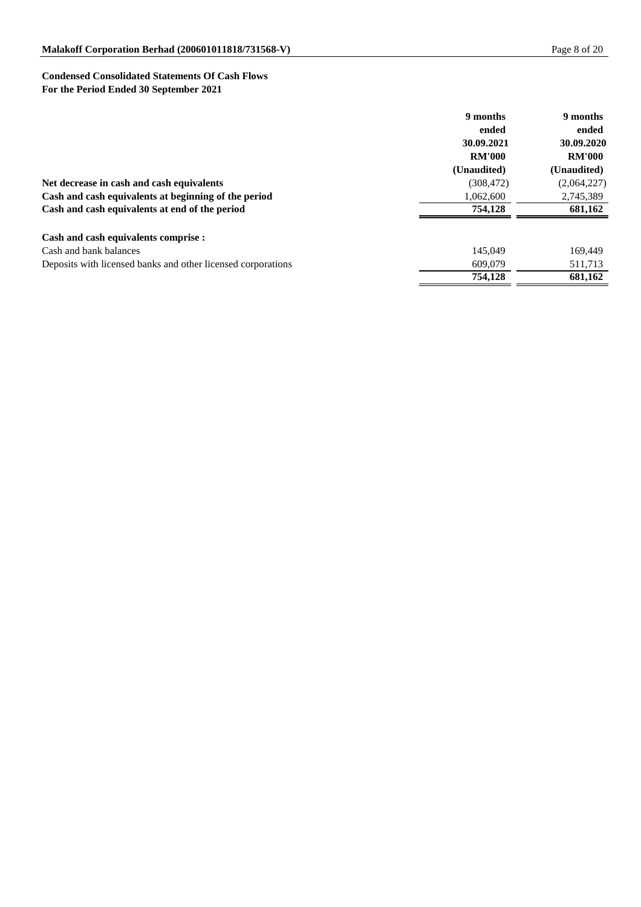# **Condensed Consolidated Statements Of Cash Flows For the Period Ended 30 September 2021**

|                                                              | 9 months      | 9 months      |
|--------------------------------------------------------------|---------------|---------------|
|                                                              | ended         | ended         |
|                                                              | 30.09.2021    | 30.09.2020    |
|                                                              | <b>RM'000</b> | <b>RM'000</b> |
|                                                              | (Unaudited)   | (Unaudited)   |
| Net decrease in cash and cash equivalents                    | (308, 472)    | (2,064,227)   |
| Cash and cash equivalents at beginning of the period         | 1,062,600     | 2,745,389     |
| Cash and cash equivalents at end of the period               | 754,128       | 681,162       |
| Cash and cash equivalents comprise :                         |               |               |
| Cash and bank balances                                       | 145,049       | 169,449       |
| Deposits with licensed banks and other licensed corporations | 609,079       | 511,713       |
|                                                              | 754,128       | 681,162       |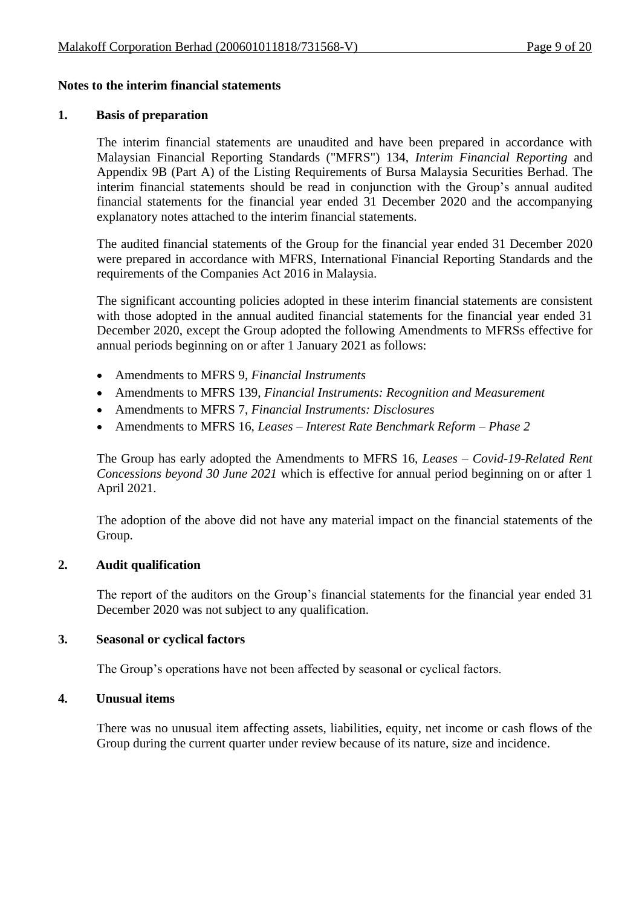#### **Notes to the interim financial statements**

#### **1. Basis of preparation**

The interim financial statements are unaudited and have been prepared in accordance with Malaysian Financial Reporting Standards ("MFRS") 134, *Interim Financial Reporting* and Appendix 9B (Part A) of the Listing Requirements of Bursa Malaysia Securities Berhad. The interim financial statements should be read in conjunction with the Group's annual audited financial statements for the financial year ended 31 December 2020 and the accompanying explanatory notes attached to the interim financial statements.

The audited financial statements of the Group for the financial year ended 31 December 2020 were prepared in accordance with MFRS, International Financial Reporting Standards and the requirements of the Companies Act 2016 in Malaysia.

The significant accounting policies adopted in these interim financial statements are consistent with those adopted in the annual audited financial statements for the financial year ended 31 December 2020, except the Group adopted the following Amendments to MFRSs effective for annual periods beginning on or after 1 January 2021 as follows:

- Amendments to MFRS 9, *Financial Instruments*
- Amendments to MFRS 139, *Financial Instruments: Recognition and Measurement*
- Amendments to MFRS 7, *Financial Instruments: Disclosures*
- Amendments to MFRS 16, *Leases – Interest Rate Benchmark Reform – Phase 2*

The Group has early adopted the Amendments to MFRS 16, *Leases – Covid-19-Related Rent Concessions beyond 30 June 2021* which is effective for annual period beginning on or after 1 April 2021.

The adoption of the above did not have any material impact on the financial statements of the Group.

#### **2. Audit qualification**

The report of the auditors on the Group's financial statements for the financial year ended 31 December 2020 was not subject to any qualification.

#### **3. Seasonal or cyclical factors**

The Group's operations have not been affected by seasonal or cyclical factors.

#### **4. Unusual items**

There was no unusual item affecting assets, liabilities, equity, net income or cash flows of the Group during the current quarter under review because of its nature, size and incidence.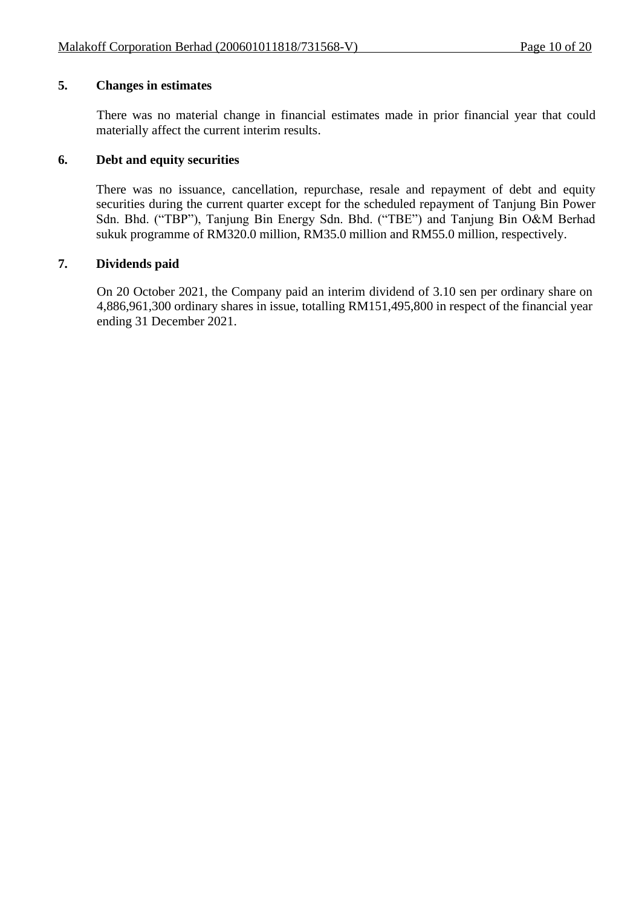# **5. Changes in estimates**

There was no material change in financial estimates made in prior financial year that could materially affect the current interim results.

#### **6. Debt and equity securities**

There was no issuance, cancellation, repurchase, resale and repayment of debt and equity securities during the current quarter except for the scheduled repayment of Tanjung Bin Power Sdn. Bhd. ("TBP"), Tanjung Bin Energy Sdn. Bhd. ("TBE") and Tanjung Bin O&M Berhad sukuk programme of RM320.0 million, RM35.0 million and RM55.0 million, respectively.

## **7. Dividends paid**

On 20 October 2021, the Company paid an interim dividend of 3.10 sen per ordinary share on 4,886,961,300 ordinary shares in issue, totalling RM151,495,800 in respect of the financial year ending 31 December 2021.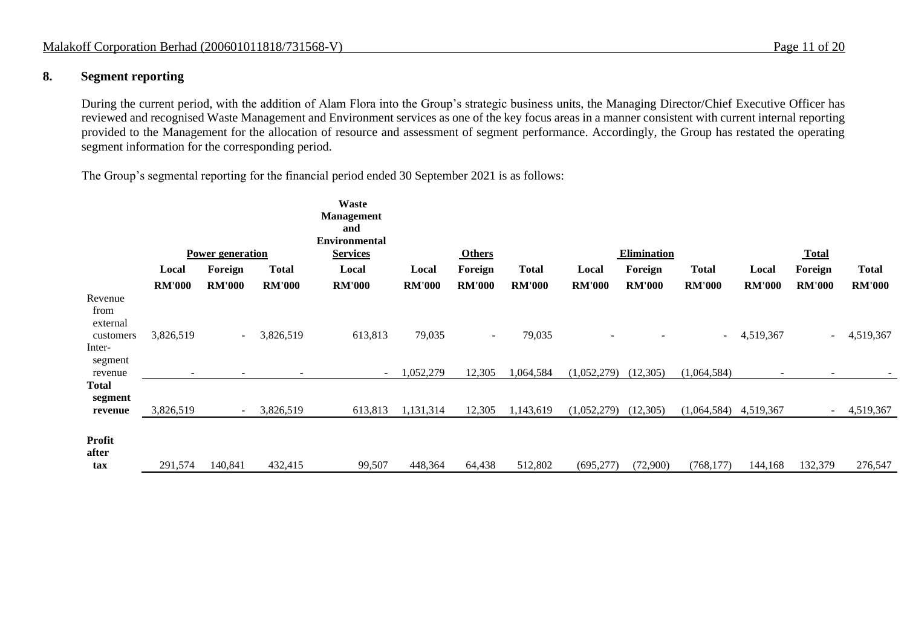## **8. Segment reporting**

During the current period, with the addition of Alam Flora into the Group's strategic business units, the Managing Director/Chief Executive Officer has reviewed and recognised Waste Management and Environment services as one of the key focus areas in a manner consistent with current internal reporting provided to the Management for the allocation of resource and assessment of segment performance. Accordingly, the Group has restated the operating segment information for the corresponding period.

The Group's segmental reporting for the financial period ended 30 September 2021 is as follows:

|                                                               |               | <b>Power generation</b>      |               | <b>Waste</b><br><b>Management</b><br>and<br><b>Environmental</b><br><b>Services</b> |               | <b>Others</b> |               |               | Elimination   |               |                          | <b>Total</b>  |               |
|---------------------------------------------------------------|---------------|------------------------------|---------------|-------------------------------------------------------------------------------------|---------------|---------------|---------------|---------------|---------------|---------------|--------------------------|---------------|---------------|
|                                                               | Local         | Foreign                      | <b>Total</b>  | Local                                                                               | Local         | Foreign       | <b>Total</b>  | Local         | Foreign       | <b>Total</b>  | Local                    | Foreign       | <b>Total</b>  |
|                                                               | <b>RM'000</b> | <b>RM'000</b>                | <b>RM'000</b> | <b>RM'000</b>                                                                       | <b>RM'000</b> | <b>RM'000</b> | <b>RM'000</b> | <b>RM'000</b> | <b>RM'000</b> | <b>RM'000</b> | <b>RM'000</b>            | <b>RM'000</b> | <b>RM'000</b> |
| Revenue<br>from<br>external<br>customers<br>Inter-<br>segment | 3,826,519     | $\sim$                       | 3,826,519     | 613,813                                                                             | 79,035        | $\sim$        | 79,035        |               |               | $\sim$        | 4,519,367                | ÷             | 4,519,367     |
| revenue                                                       |               | $\qquad \qquad \blacksquare$ |               |                                                                                     | ,052,279      | 12,305        | 1,064,584     | (1,052,279)   | (12, 305)     | (1,064,584)   | $\overline{\phantom{0}}$ | ۰             |               |
| <b>Total</b><br>segment<br>revenue                            | 3,826,519     | $\overline{a}$               | 3,826,519     | 613,813                                                                             | 1,131,314     | 12,305        | 1,143,619     | (1,052,279)   | (12,305)      | (1,064,584)   | 4,519,367                | $\sim$        | 4,519,367     |
| Profit<br>after<br>tax                                        | 291,574       | 140,841                      | 432,415       | 99,507                                                                              | 448,364       | 64,438        | 512,802       | (695, 277)    | (72,900)      | (768, 177)    | 144,168                  | 132,379       | 276,547       |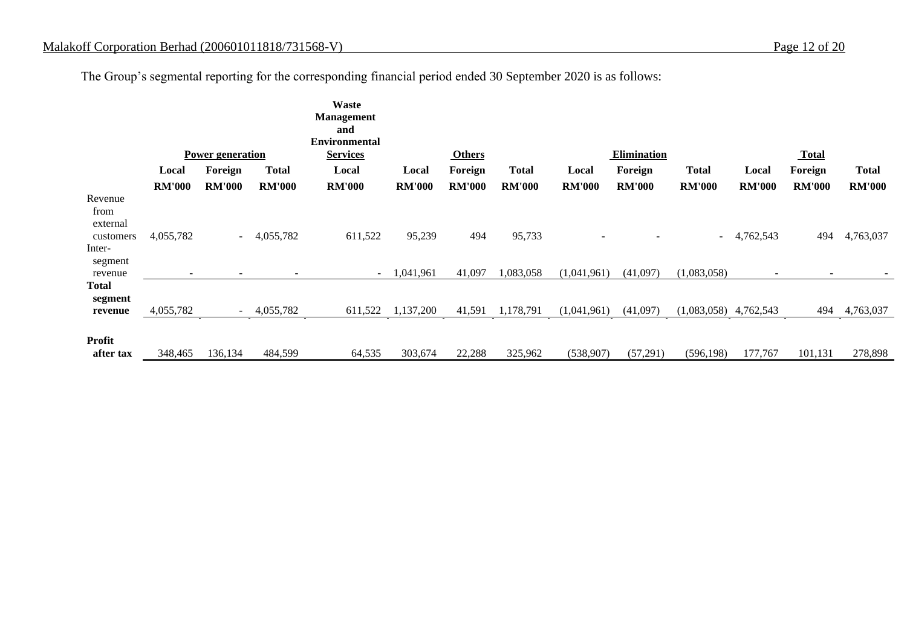The Group's segmental reporting for the corresponding financial period ended 30 September 2020 is as follows:

|                                    |               |                          |               | Waste                    |               |               |               |               |               |                |                          |                          |               |
|------------------------------------|---------------|--------------------------|---------------|--------------------------|---------------|---------------|---------------|---------------|---------------|----------------|--------------------------|--------------------------|---------------|
|                                    |               |                          |               | <b>Management</b><br>and |               |               |               |               |               |                |                          |                          |               |
|                                    |               |                          |               | <b>Environmental</b>     |               |               |               |               |               |                |                          |                          |               |
|                                    |               | <b>Power generation</b>  |               | <b>Services</b>          |               | <b>Others</b> |               |               | Elimination   |                |                          | <b>Total</b>             |               |
|                                    | Local         | Foreign                  | <b>Total</b>  | Local                    | Local         | Foreign       | <b>Total</b>  | Local         | Foreign       | <b>Total</b>   | Local                    | Foreign                  | <b>Total</b>  |
|                                    | <b>RM'000</b> | <b>RM'000</b>            | <b>RM'000</b> | <b>RM'000</b>            | <b>RM'000</b> | <b>RM'000</b> | <b>RM'000</b> | <b>RM'000</b> | <b>RM'000</b> | <b>RM'000</b>  | <b>RM'000</b>            | <b>RM'000</b>            | <b>RM'000</b> |
| Revenue<br>from<br>external        |               |                          |               |                          |               |               |               |               |               |                |                          |                          |               |
| customers<br>Inter-<br>segment     | 4,055,782     | $\sim$                   | 4,055,782     | 611,522                  | 95,239        | 494           | 95,733        |               |               | $\sim$ 10 $\,$ | 4,762,543                | 494                      | 4,763,037     |
| revenue                            |               | $\overline{\phantom{a}}$ |               | $\sim$                   | 1,041,961     | 41,097        | 1,083,058     | (1,041,961)   | (41,097)      | (1,083,058)    | $\overline{\phantom{a}}$ | $\overline{\phantom{a}}$ |               |
| <b>Total</b><br>segment<br>revenue | 4,055,782     | $\sim$                   | 4,055,782     | 611,522                  | 1,137,200     | 41,591        | 1,178,791     | (1,041,961)   | (41,097)      | (1,083,058)    | 4,762,543                | 494                      | 4,763,037     |
| <b>Profit</b><br>after tax         | 348,465       | 136,134                  | 484,599       | 64,535                   | 303,674       | 22,288        | 325,962       | (538,907)     | (57,291)      | (596, 198)     | 177,767                  | 101,131                  | 278,898       |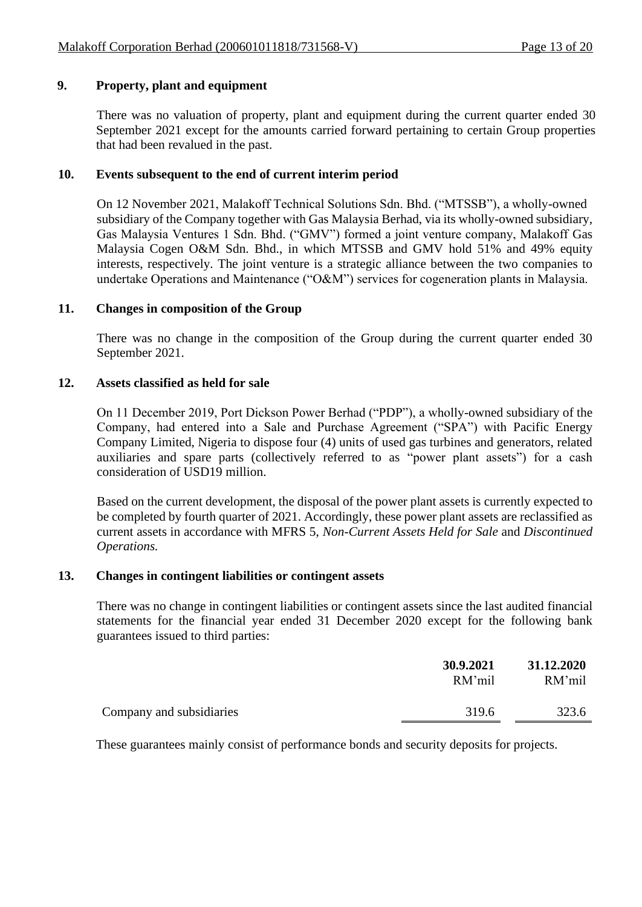# **9. Property, plant and equipment**

There was no valuation of property, plant and equipment during the current quarter ended 30 September 2021 except for the amounts carried forward pertaining to certain Group properties that had been revalued in the past.

# **10. Events subsequent to the end of current interim period**

On 12 November 2021, Malakoff Technical Solutions Sdn. Bhd. ("MTSSB"), a wholly-owned subsidiary of the Company together with Gas Malaysia Berhad, via its wholly-owned subsidiary, Gas Malaysia Ventures 1 Sdn. Bhd. ("GMV") formed a joint venture company, Malakoff Gas Malaysia Cogen O&M Sdn. Bhd., in which MTSSB and GMV hold 51% and 49% equity interests, respectively. The joint venture is a strategic alliance between the two companies to undertake Operations and Maintenance ("O&M") services for cogeneration plants in Malaysia.

## **11. Changes in composition of the Group**

There was no change in the composition of the Group during the current quarter ended 30 September 2021.

## **12. Assets classified as held for sale**

On 11 December 2019, Port Dickson Power Berhad ("PDP"), a wholly-owned subsidiary of the Company, had entered into a Sale and Purchase Agreement ("SPA") with Pacific Energy Company Limited, Nigeria to dispose four (4) units of used gas turbines and generators, related auxiliaries and spare parts (collectively referred to as "power plant assets") for a cash consideration of USD19 million.

Based on the current development, the disposal of the power plant assets is currently expected to be completed by fourth quarter of 2021. Accordingly, these power plant assets are reclassified as current assets in accordance with MFRS 5, *Non-Current Assets Held for Sale* and *Discontinued Operations.*

#### **13. Changes in contingent liabilities or contingent assets**

There was no change in contingent liabilities or contingent assets since the last audited financial statements for the financial year ended 31 December 2020 except for the following bank guarantees issued to third parties:

|                          | 30.9.2021<br>RM'mil | 31.12.2020<br>RM'mil |
|--------------------------|---------------------|----------------------|
| Company and subsidiaries | 319.6               | 323.6                |

These guarantees mainly consist of performance bonds and security deposits for projects.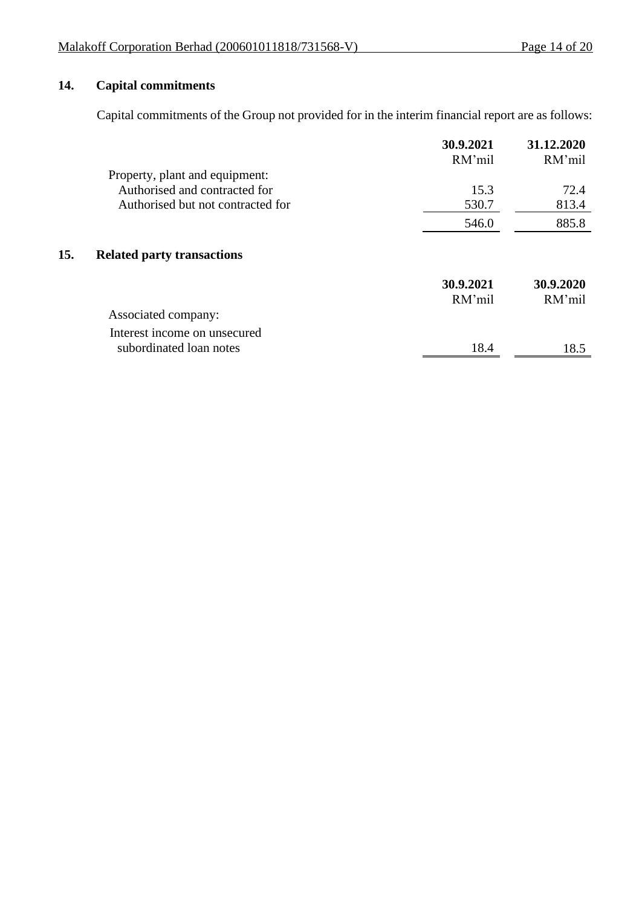# **14. Capital commitments**

 $15.$ 

Capital commitments of the Group not provided for in the interim financial report are as follows:

|                                   | 30.9.2021<br>RM'mil | 31.12.2020<br>RM'mil |
|-----------------------------------|---------------------|----------------------|
| Property, plant and equipment:    |                     |                      |
| Authorised and contracted for     | 15.3                | 72.4                 |
| Authorised but not contracted for | 530.7               | 813.4                |
|                                   | 546.0               | 885.8                |
| <b>Related party transactions</b> |                     |                      |
|                                   | 30.9.2021           | 30.9.2020            |
|                                   | RM'mil              | RM'mil               |
| Associated company:               |                     |                      |
| Interest income on unsecured      |                     |                      |
| subordinated loan notes           | 18.4                | 18.5                 |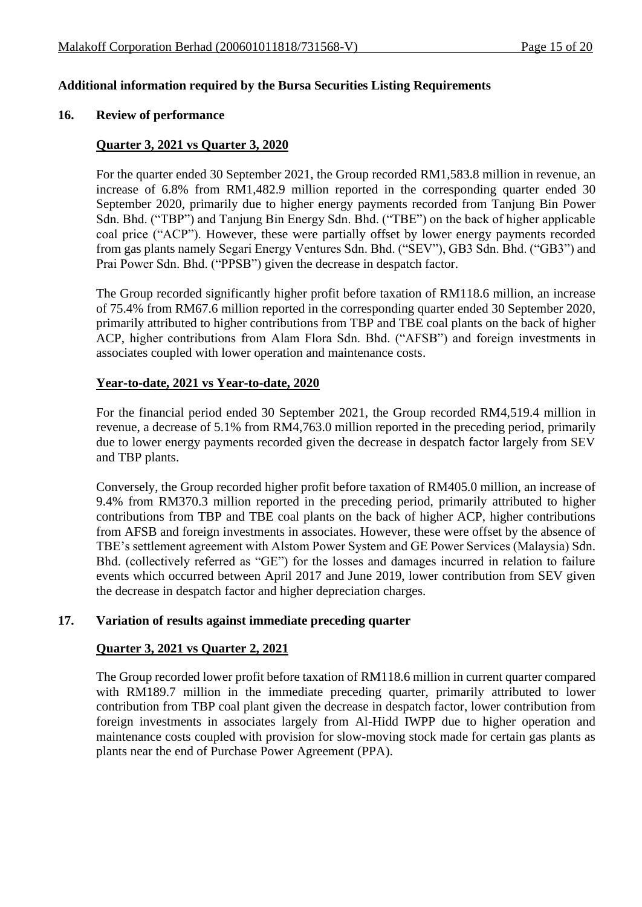# **Additional information required by the Bursa Securities Listing Requirements**

#### **16. Review of performance**

#### **Quarter 3, 2021 vs Quarter 3, 2020**

For the quarter ended 30 September 2021, the Group recorded RM1,583.8 million in revenue, an increase of 6.8% from RM1,482.9 million reported in the corresponding quarter ended 30 September 2020, primarily due to higher energy payments recorded from Tanjung Bin Power Sdn. Bhd. ("TBP") and Tanjung Bin Energy Sdn. Bhd. ("TBE") on the back of higher applicable coal price ("ACP"). However, these were partially offset by lower energy payments recorded from gas plants namely Segari Energy Ventures Sdn. Bhd. ("SEV"), GB3 Sdn. Bhd. ("GB3") and Prai Power Sdn. Bhd. ("PPSB") given the decrease in despatch factor.

The Group recorded significantly higher profit before taxation of RM118.6 million, an increase of 75.4% from RM67.6 million reported in the corresponding quarter ended 30 September 2020, primarily attributed to higher contributions from TBP and TBE coal plants on the back of higher ACP, higher contributions from Alam Flora Sdn. Bhd. ("AFSB") and foreign investments in associates coupled with lower operation and maintenance costs.

#### **Year-to-date, 2021 vs Year-to-date, 2020**

For the financial period ended 30 September 2021, the Group recorded RM4,519.4 million in revenue, a decrease of 5.1% from RM4,763.0 million reported in the preceding period, primarily due to lower energy payments recorded given the decrease in despatch factor largely from SEV and TBP plants.

Conversely, the Group recorded higher profit before taxation of RM405.0 million, an increase of 9.4% from RM370.3 million reported in the preceding period, primarily attributed to higher contributions from TBP and TBE coal plants on the back of higher ACP, higher contributions from AFSB and foreign investments in associates. However, these were offset by the absence of TBE's settlement agreement with Alstom Power System and GE Power Services (Malaysia) Sdn. Bhd. (collectively referred as "GE") for the losses and damages incurred in relation to failure events which occurred between April 2017 and June 2019, lower contribution from SEV given the decrease in despatch factor and higher depreciation charges.

#### **17. Variation of results against immediate preceding quarter**

#### **Quarter 3, 2021 vs Quarter 2, 2021**

The Group recorded lower profit before taxation of RM118.6 million in current quarter compared with RM189.7 million in the immediate preceding quarter, primarily attributed to lower contribution from TBP coal plant given the decrease in despatch factor, lower contribution from foreign investments in associates largely from Al-Hidd IWPP due to higher operation and maintenance costs coupled with provision for slow-moving stock made for certain gas plants as plants near the end of Purchase Power Agreement (PPA).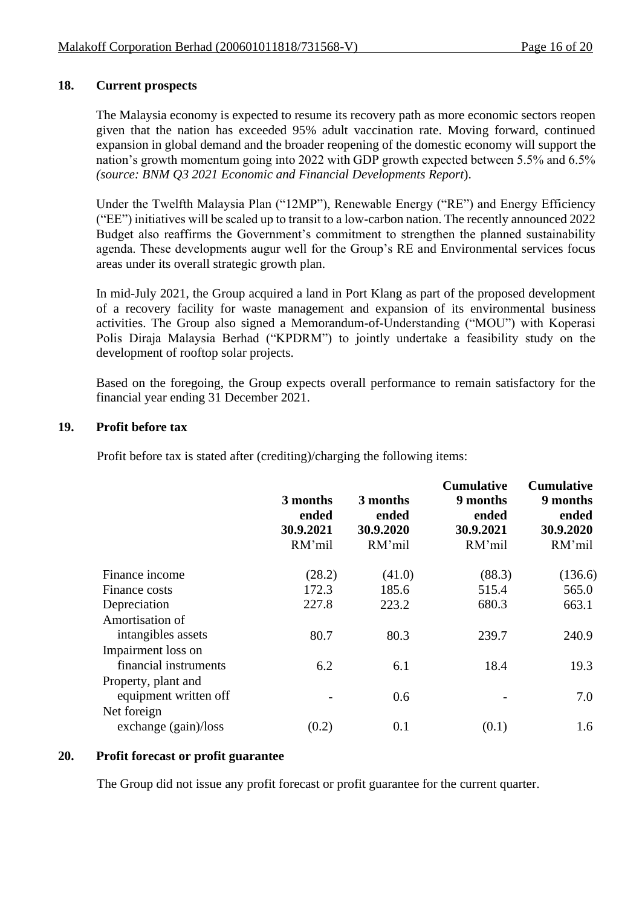# **18. Current prospects**

The Malaysia economy is expected to resume its recovery path as more economic sectors reopen given that the nation has exceeded 95% adult vaccination rate. Moving forward, continued expansion in global demand and the broader reopening of the domestic economy will support the nation's growth momentum going into 2022 with GDP growth expected between 5.5% and 6.5% *(source: BNM Q3 2021 Economic and Financial Developments Report*).

Under the Twelfth Malaysia Plan ("12MP"), Renewable Energy ("RE") and Energy Efficiency ("EE") initiatives will be scaled up to transit to a low-carbon nation. The recently announced 2022 Budget also reaffirms the Government's commitment to strengthen the planned sustainability agenda. These developments augur well for the Group's RE and Environmental services focus areas under its overall strategic growth plan.

In mid-July 2021, the Group acquired a land in Port Klang as part of the proposed development of a recovery facility for waste management and expansion of its environmental business activities. The Group also signed a Memorandum-of-Understanding ("MOU") with Koperasi Polis Diraja Malaysia Berhad ("KPDRM") to jointly undertake a feasibility study on the development of rooftop solar projects.

Based on the foregoing, the Group expects overall performance to remain satisfactory for the financial year ending 31 December 2021.

## **19. Profit before tax**

Profit before tax is stated after (crediting)/charging the following items:

|                        | 3 months<br>ended<br>30.9.2021<br>RM'mil | 3 months<br>ended<br>30.9.2020<br>RM'mil | <b>Cumulative</b><br>9 months<br>ended<br>30.9.2021<br>RM'mil | <b>Cumulative</b><br>9 months<br>ended<br>30.9.2020<br>RM'mil |
|------------------------|------------------------------------------|------------------------------------------|---------------------------------------------------------------|---------------------------------------------------------------|
| Finance income         | (28.2)                                   | (41.0)                                   | (88.3)                                                        | (136.6)                                                       |
| Finance costs          | 172.3                                    | 185.6                                    | 515.4                                                         | 565.0                                                         |
| Depreciation           | 227.8                                    | 223.2                                    | 680.3                                                         | 663.1                                                         |
| Amortisation of        |                                          |                                          |                                                               |                                                               |
| intangibles assets     | 80.7                                     | 80.3                                     | 239.7                                                         | 240.9                                                         |
| Impairment loss on     |                                          |                                          |                                                               |                                                               |
| financial instruments  | 6.2                                      | 6.1                                      | 18.4                                                          | 19.3                                                          |
| Property, plant and    |                                          |                                          |                                                               |                                                               |
| equipment written off  |                                          | 0.6                                      |                                                               | 7.0                                                           |
| Net foreign            |                                          |                                          |                                                               |                                                               |
| exchange $(gain)/loss$ | (0.2)                                    | 0.1                                      | (0.1)                                                         | 1.6                                                           |

#### **20. Profit forecast or profit guarantee**

The Group did not issue any profit forecast or profit guarantee for the current quarter.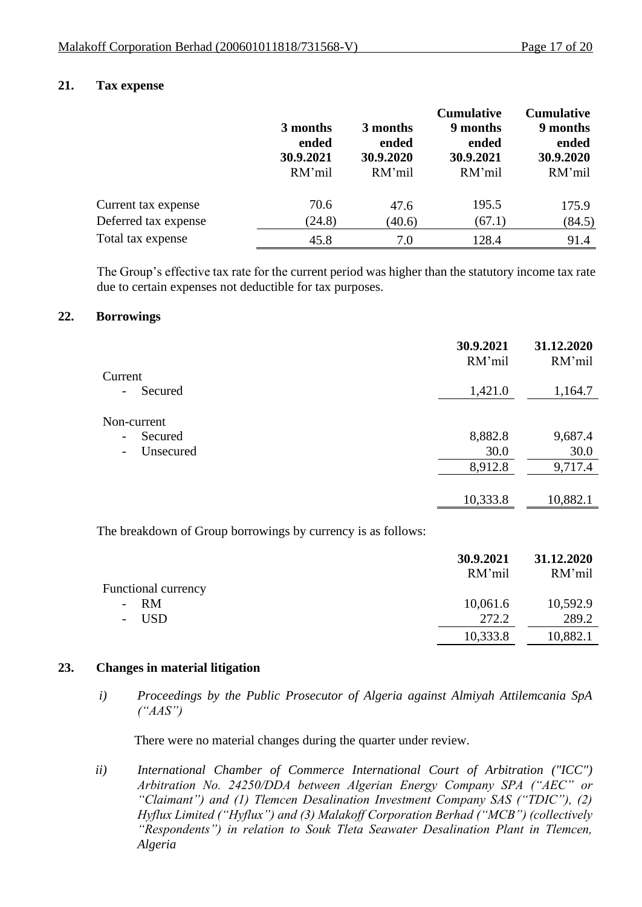# **21. Tax expense**

|                      | 3 months<br>ended<br>30.9.2021<br>RM'mil | 3 months<br>ended<br>30.9.2020<br>RM'mil | <b>Cumulative</b><br>9 months<br>ended<br>30.9.2021<br>RM'mil | <b>Cumulative</b><br>9 months<br>ended<br>30.9.2020<br>RM'mil |
|----------------------|------------------------------------------|------------------------------------------|---------------------------------------------------------------|---------------------------------------------------------------|
| Current tax expense  | 70.6                                     | 47.6                                     | 195.5                                                         | 175.9                                                         |
| Deferred tax expense | (24.8)                                   | (40.6)                                   | (67.1)                                                        | (84.5)                                                        |
| Total tax expense    | 45.8                                     | 7.0                                      | 128.4                                                         | 91.4                                                          |

The Group's effective tax rate for the current period was higher than the statutory income tax rate due to certain expenses not deductible for tax purposes.

#### **22. Borrowings**

|                                       | 30.9.2021<br>RM'mil | 31.12.2020<br>RM'mil |
|---------------------------------------|---------------------|----------------------|
| Current                               |                     |                      |
| Secured<br>$\qquad \qquad -$          | 1,421.0             | 1,164.7              |
| Non-current                           |                     |                      |
| Secured<br>$\overline{\phantom{a}}$   | 8,882.8             | 9,687.4              |
| Unsecured<br>$\overline{\phantom{a}}$ | 30.0                | 30.0                 |
|                                       | 8,912.8             | 9,717.4              |
|                                       |                     |                      |
|                                       | 10,333.8            | 10,882.1             |

The breakdown of Group borrowings by currency is as follows:

|                            | 30.9.2021<br>RM'mil | 31.12.2020<br>RM'mil |
|----------------------------|---------------------|----------------------|
| <b>Functional currency</b> |                     |                      |
| - RM                       | 10,061.6            | 10,592.9             |
| - USD                      | 272.2               | 289.2                |
|                            | 10,333.8            | 10,882.1             |
|                            |                     |                      |

#### **23. Changes in material litigation**

*i) Proceedings by the Public Prosecutor of Algeria against Almiyah Attilemcania SpA ("AAS")*

There were no material changes during the quarter under review.

*ii) International Chamber of Commerce International Court of Arbitration ("ICC") Arbitration No. 24250/DDA between Algerian Energy Company SPA ("AEC" or "Claimant") and (1) Tlemcen Desalination Investment Company SAS ("TDIC"), (2) Hyflux Limited ("Hyflux") and (3) Malakoff Corporation Berhad ("MCB") (collectively "Respondents") in relation to Souk Tleta Seawater Desalination Plant in Tlemcen, Algeria*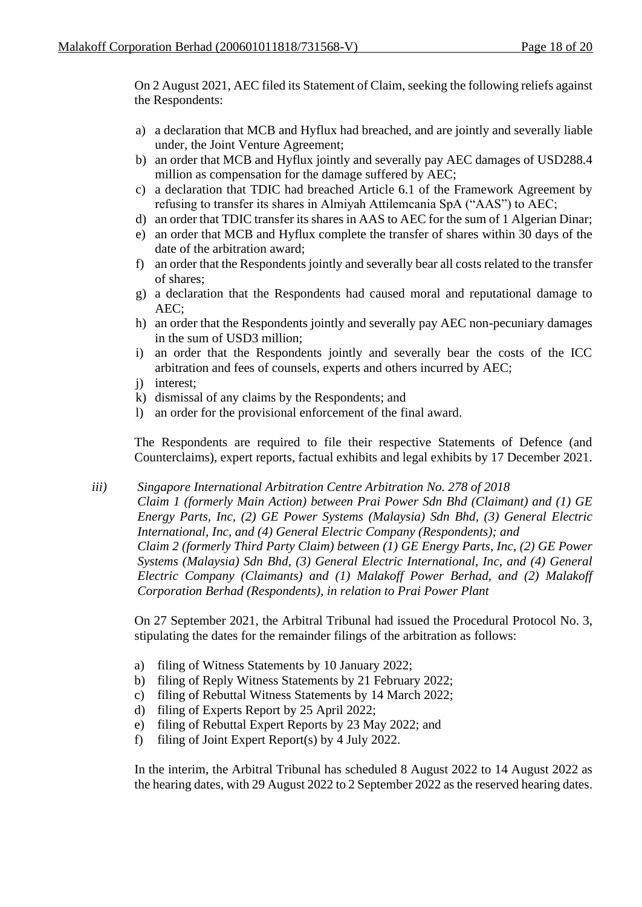On 2 August 2021, AEC filed its Statement of Claim, seeking the following reliefs against the Respondents:

- a) a declaration that MCB and Hyflux had breached, and are jointly and severally liable under, the Joint Venture Agreement;
- b) an order that MCB and Hyflux jointly and severally pay AEC damages of USD288.4 million as compensation for the damage suffered by AEC;
- c) a declaration that TDIC had breached Article 6.1 of the Framework Agreement by refusing to transfer its shares in Almiyah Attilemcania SpA ("AAS") to AEC;
- d) an order that TDIC transfer its shares in AAS to AEC for the sum of 1 Algerian Dinar;
- e) an order that MCB and Hyflux complete the transfer of shares within 30 days of the date of the arbitration award;
- f) an order that the Respondents jointly and severally bear all costs related to the transfer of shares;
- g) a declaration that the Respondents had caused moral and reputational damage to AEC;
- h) an order that the Respondents jointly and severally pay AEC non-pecuniary damages in the sum of USD3 million;
- i) an order that the Respondents jointly and severally bear the costs of the ICC arbitration and fees of counsels, experts and others incurred by AEC;
- j) interest;
- k) dismissal of any claims by the Respondents; and
- l) an order for the provisional enforcement of the final award.

The Respondents are required to file their respective Statements of Defence (and Counterclaims), expert reports, factual exhibits and legal exhibits by 17 December 2021.

*iii) Singapore International Arbitration Centre Arbitration No. 278 of 2018*

*Claim 1 (formerly Main Action) between Prai Power Sdn Bhd (Claimant) and (1) GE Energy Parts, Inc, (2) GE Power Systems (Malaysia) Sdn Bhd, (3) General Electric International, Inc, and (4) General Electric Company (Respondents); and Claim 2 (formerly Third Party Claim) between (1) GE Energy Parts, Inc, (2) GE Power Systems (Malaysia) Sdn Bhd, (3) General Electric International, Inc, and (4) General Electric Company (Claimants) and (1) Malakoff Power Berhad, and (2) Malakoff Corporation Berhad (Respondents), in relation to Prai Power Plant*

On 27 September 2021, the Arbitral Tribunal had issued the Procedural Protocol No. 3, stipulating the dates for the remainder filings of the arbitration as follows:

- a) filing of Witness Statements by 10 January 2022;
- b) filing of Reply Witness Statements by 21 February 2022;
- c) filing of Rebuttal Witness Statements by 14 March 2022;
- d) filing of Experts Report by 25 April 2022;
- e) filing of Rebuttal Expert Reports by 23 May 2022; and
- f) filing of Joint Expert Report(s) by 4 July 2022.

In the interim, the Arbitral Tribunal has scheduled 8 August 2022 to 14 August 2022 as the hearing dates, with 29 August 2022 to 2 September 2022 as the reserved hearing dates.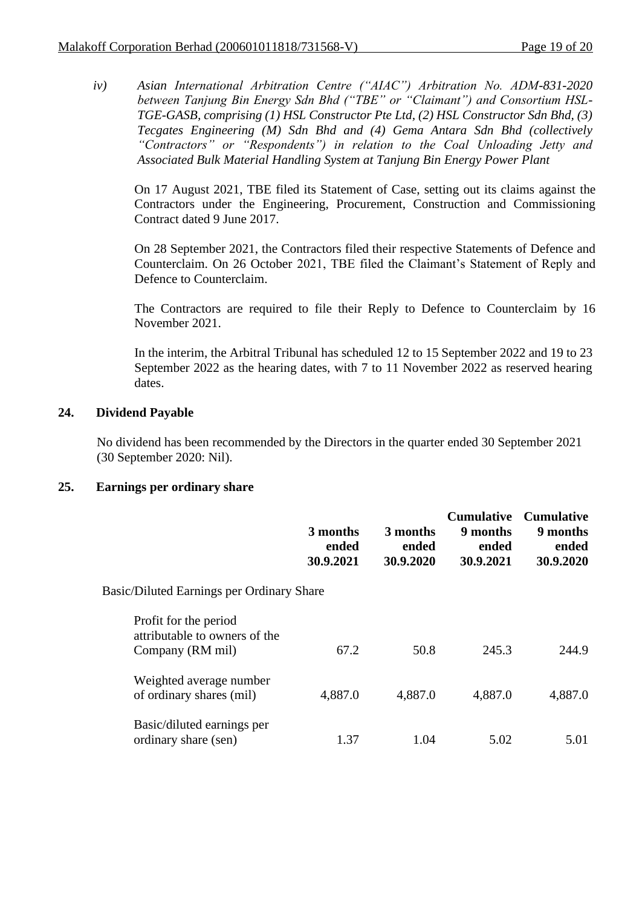*iv) Asian International Arbitration Centre ("AIAC") Arbitration No. ADM-831-2020 between Tanjung Bin Energy Sdn Bhd ("TBE" or "Claimant") and Consortium HSL-TGE-GASB, comprising (1) HSL Constructor Pte Ltd, (2) HSL Constructor Sdn Bhd, (3) Tecgates Engineering (M) Sdn Bhd and (4) Gema Antara Sdn Bhd (collectively "Contractors" or "Respondents") in relation to the Coal Unloading Jetty and Associated Bulk Material Handling System at Tanjung Bin Energy Power Plant*

On 17 August 2021, TBE filed its Statement of Case, setting out its claims against the Contractors under the Engineering, Procurement, Construction and Commissioning Contract dated 9 June 2017.

On 28 September 2021, the Contractors filed their respective Statements of Defence and Counterclaim. On 26 October 2021, TBE filed the Claimant's Statement of Reply and Defence to Counterclaim.

The Contractors are required to file their Reply to Defence to Counterclaim by 16 November 2021.

In the interim, the Arbitral Tribunal has scheduled 12 to 15 September 2022 and 19 to 23 September 2022 as the hearing dates, with 7 to 11 November 2022 as reserved hearing dates.

# **24. Dividend Payable**

No dividend has been recommended by the Directors in the quarter ended 30 September 2021 (30 September 2020: Nil).

#### **25. Earnings per ordinary share**

|                                                                            | 3 months<br>ended<br>30.9.2021 | 3 months<br>ended<br>30.9.2020 | <b>Cumulative</b><br>9 months<br>ended<br>30.9.2021 | <b>Cumulative</b><br>9 months<br>ended<br>30.9.2020 |
|----------------------------------------------------------------------------|--------------------------------|--------------------------------|-----------------------------------------------------|-----------------------------------------------------|
| <b>Basic/Diluted Earnings per Ordinary Share</b>                           |                                |                                |                                                     |                                                     |
| Profit for the period<br>attributable to owners of the<br>Company (RM mil) | 67.2                           | 50.8                           | 245.3                                               | 244.9                                               |
| Weighted average number<br>of ordinary shares (mil)                        | 4,887.0                        | 4,887.0                        | 4,887.0                                             | 4,887.0                                             |
| Basic/diluted earnings per<br>ordinary share (sen)                         | 1.37                           | 1.04                           | 5.02                                                | 5.01                                                |